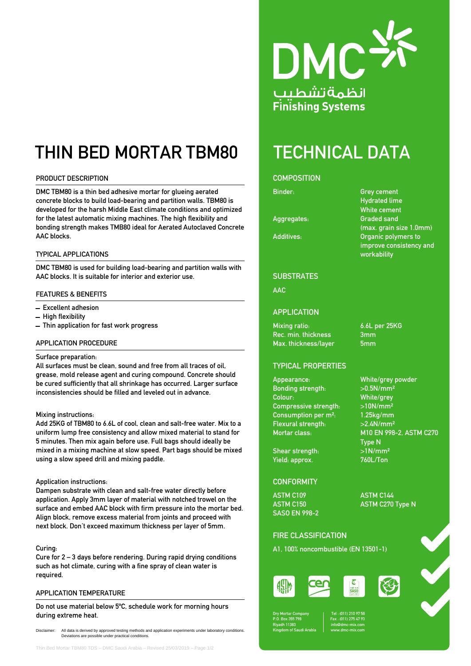# THIN BED MORTAR TBM80 TECHNICAL DATA

# PRODUCT DESCRIPTION

DMC TBM80 is a thin bed adhesive mortar for glueing aerated concrete blocks to build load-bearing and partition walls. TBM80 is developed for the harsh Middle East climate conditions and optimized for the latest automatic mixing machines. The high flexibility and bonding strength makes TMB80 ideal for Aerated Autoclaved Concrete AAC blocks.

#### TYPICAL APPLICATIONS

DMC TBM80 is used for building load-bearing and partition walls with AAC blocks. It is suitable for interior and exterior use.

### FEATURES & BENEFITS

- Excellent adhesion
- High flexibility
- $-$  Thin application for fast work progress

#### APPLICATION PROCEDURE

#### Surface preparation:

All surfaces must be clean, sound and free from all traces of oil, grease, mold release agent and curing compound. Concrete should be cured sufficiently that all shrinkage has occurred. Larger surface inconsistencies should be filled and leveled out in advance.

#### Mixing instructions:

Add 25KG of TBM80 to 6.6L of cool, clean and salt-free water. Mix to a uniform lump free consistency and allow mixed material to stand for 5 minutes. Then mix again before use. Full bags should ideally be mixed in a mixing machine at slow speed. Part bags should be mixed using a slow speed drill and mixing paddle.

#### Application instructions:

Dampen substrate with clean and salt-free water directly before application. Apply 3mm layer of material with notched trowel on the surface and embed AAC block with firm pressure into the mortar bed. Align block, remove excess material from joints and proceed with next block. Don't exceed maximum thickness per layer of 5mm.

#### Curing:

Cure for 2 – 3 days before rendering. During rapid drying conditions such as hot climate, curing with a fine spray of clean water is required.

#### APPLICATION TEMPERATURE

Do not use material below 5ºC, schedule work for morning hours during extreme heat.





# **COMPOSITION**

Aggregates:

Binder: Grey cement Hydrated lime White cement<br>Graded sand (max. grain size 1.0mm) Additives: Organic polymers to improve consistency and workability

#### **SUBSTRATES**

# AAC

# **APPLICATION**

Mixing ratio: 6.6L per 25KG Rec. min. thickness 3mm Max. thickness/layer 5mm

### TYPICAL PROPERTIES

Appearance: Bonding strength: Colour: Compressive strength: Consumption per m<sup>2</sup>: Flexural strength:  $>2.4$ N/mm<sup>2</sup> Mortar class: M10 EN 998-2, ASTM C270

Shear strength:  $>1$ N/mm<sup>2</sup> Yield: approx. 760L/Ton

# **CONFORMITY**

ASTM C109 ASTM C144 SASO EN 998-2

ASTM C150 ASTM C270 Type N

Type N

### FIRE CLASSIFICATION

A1, 100% noncombustible (EN 13501-1)





Dry Mortar Company P.O. Box 355 798 Riyadh 11383 Kingdom of Saudi Arabia Tel : (011) 210 97 58 Fax : (011) 275 47 93 [info@dmc-mix.com](mailto:info@dmc-mix.com) www.dmc-mix.com

| mm                                                                      |  |
|-------------------------------------------------------------------------|--|
|                                                                         |  |
| hite/grey powder/                                                       |  |
| 0.5N/mm <sup>2</sup>                                                    |  |
| hite/grey                                                               |  |
| 10N/mm <sup>2</sup>                                                     |  |
| $\mathbf{O}(\mathbf{E} \mathbf{I}) = \mathbf{I}(\mathbf{I} \mathbf{I})$ |  |